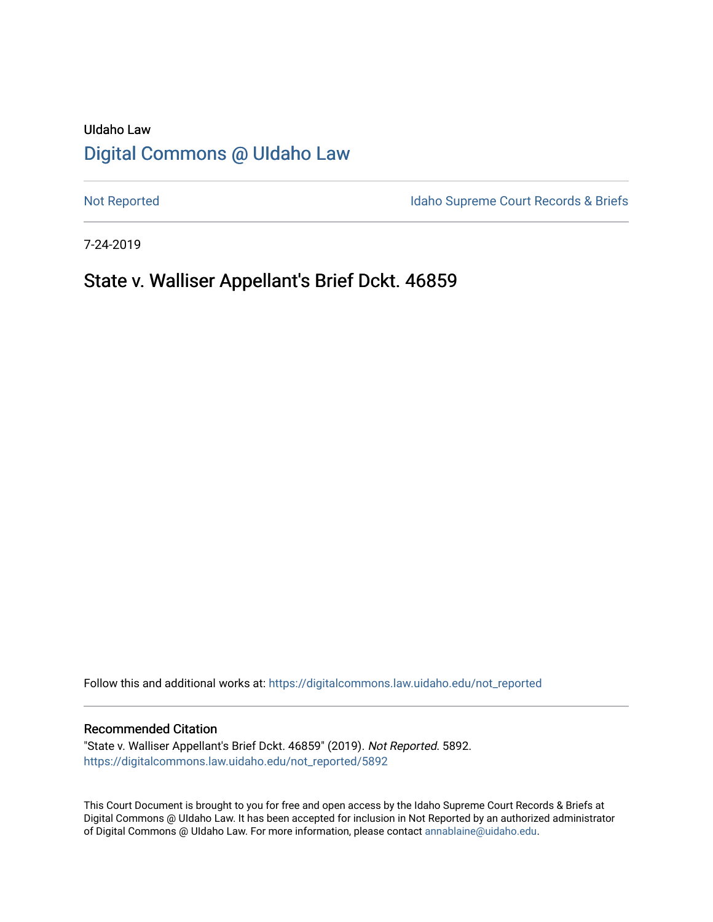# UIdaho Law [Digital Commons @ UIdaho Law](https://digitalcommons.law.uidaho.edu/)

[Not Reported](https://digitalcommons.law.uidaho.edu/not_reported) **Idaho Supreme Court Records & Briefs** 

7-24-2019

# State v. Walliser Appellant's Brief Dckt. 46859

Follow this and additional works at: [https://digitalcommons.law.uidaho.edu/not\\_reported](https://digitalcommons.law.uidaho.edu/not_reported?utm_source=digitalcommons.law.uidaho.edu%2Fnot_reported%2F5892&utm_medium=PDF&utm_campaign=PDFCoverPages) 

### Recommended Citation

"State v. Walliser Appellant's Brief Dckt. 46859" (2019). Not Reported. 5892. [https://digitalcommons.law.uidaho.edu/not\\_reported/5892](https://digitalcommons.law.uidaho.edu/not_reported/5892?utm_source=digitalcommons.law.uidaho.edu%2Fnot_reported%2F5892&utm_medium=PDF&utm_campaign=PDFCoverPages)

This Court Document is brought to you for free and open access by the Idaho Supreme Court Records & Briefs at Digital Commons @ UIdaho Law. It has been accepted for inclusion in Not Reported by an authorized administrator of Digital Commons @ UIdaho Law. For more information, please contact [annablaine@uidaho.edu](mailto:annablaine@uidaho.edu).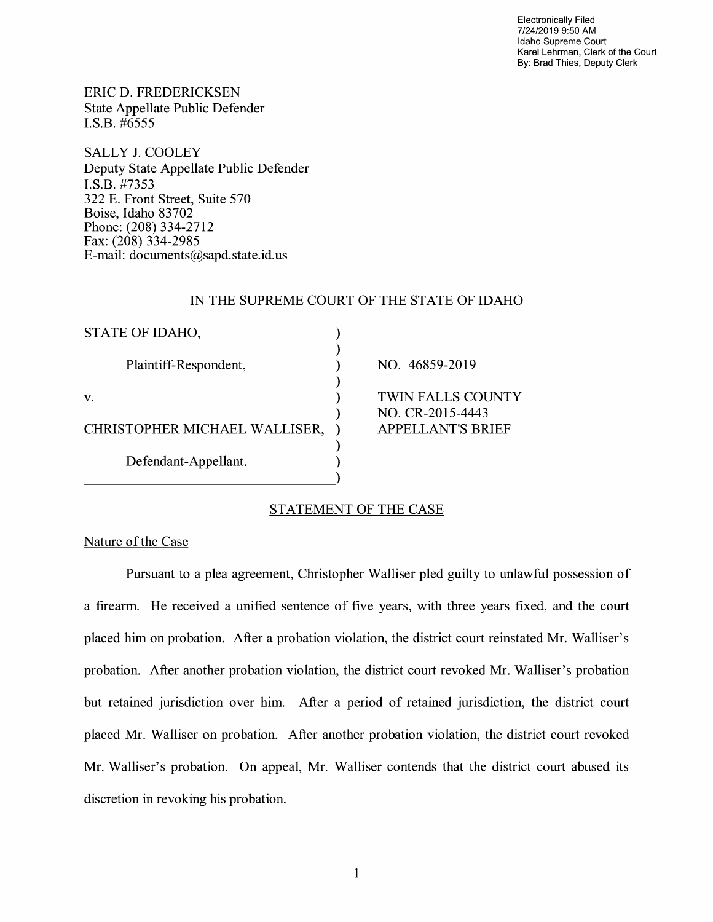Electronically Filed 7/24/2019 9:50 AM Idaho Supreme Court Karel Lehrman, Clerk of the Court By: Brad Thies, Deputy Clerk

ERIC D. FREDERICKSEN State Appellate Public Defender I.S.B. #6555

SALLY J. COOLEY Deputy State Appellate Public Defender **I.S.B.** #7353 322 E. Front Street, Suite 570 Boise, Idaho 83702 Phone: (208) 334-2712 Fax: (208) 334-2985 E-mail: documents@sapd.state.id. us

### IN THE SUPREME COURT OF THE STATE OF IDAHO

| STATE OF IDAHO,               |                                              |
|-------------------------------|----------------------------------------------|
| Plaintiff-Respondent,         | NO. 46859-2019                               |
| V.                            | <b>TWIN FALLS COUNTY</b><br>NO. CR-2015-4443 |
| CHRISTOPHER MICHAEL WALLISER, | <b>APPELLANT'S BRIEF</b>                     |
| Defendant-Appellant.          |                                              |

## STATEMENT OF THE CASE

Nature of the Case

Pursuant to a plea agreement, Christopher Walliser pled guilty to unlawful possession of a firearm. He received a unified sentence of five years, with three years fixed, and the court placed him on probation. After a probation violation, the district court reinstated Mr. Walliser's probation. After another probation violation, the district court revoked Mr. Walliser's probation but retained jurisdiction over him. After a period of retained jurisdiction, the district court placed Mr. Walliser on probation. After another probation violation, the district court revoked Mr. Walliser's probation. On appeal, Mr. Walliser contends that the district court abused its discretion in revoking his probation.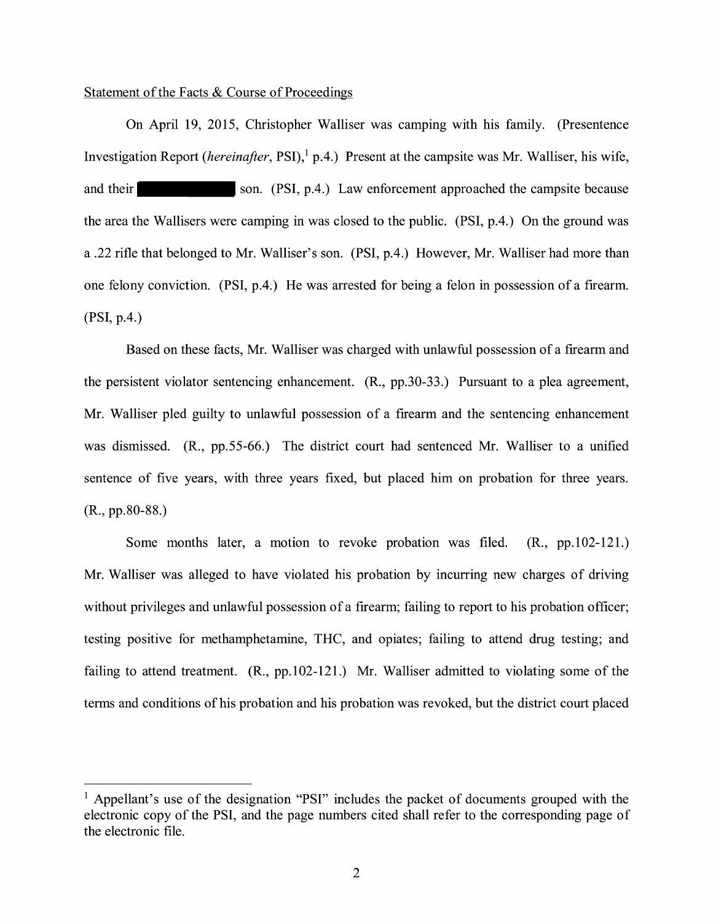## Statement of the Facts & Course of Proceedings

On April 19, 2015, Christopher Walliser was camping with his family. (Presentence Investigation Report *(hereinafter, PSI)*,<sup>1</sup> p.4.) Present at the campsite was Mr. Walliser, his wife, and their son. (PSI, p.4.) Law enforcement approached the campsite because the area the Wallisers were camping in was closed to the public. (PSI, p.4.) On the ground was a .22 rifle that belonged to Mr. Walliser's son. (PSI, p.4.) However, Mr. Walliser had more than one felony conviction. (PSI, p.4.) He was arrested for being a felon in possession of a firearm. (PSI, p.4.)

Based on these facts, Mr. Walliser was charged with unlawful possession of a firearm and the persistent violator sentencing enhancement. (R., pp.30-33.) Pursuant to a plea agreement, Mr. Walliser pled guilty to unlawful possession of a firearm and the sentencing enhancement was dismissed. (R., pp.55-66.) The district court had sentenced Mr. Walliser to a unified sentence of five years, with three years fixed, but placed him on probation for three years. (R., pp.80-88.)

Some months later, a motion to revoke probation was filed. (R., pp.102-121.) Mr. Walliser was alleged to have violated his probation by incurring new charges of driving without privileges and unlawful possession of a firearm; failing to report to his probation officer; testing positive for methamphetamine, THC, and opiates; failing to attend drug testing; and failing to attend treatment. (R., pp. 102-121.) Mr. Walliser admitted to violating some of the terms and conditions of his probation and his probation was revoked, but the district court placed

<sup>&</sup>lt;sup>1</sup> Appellant's use of the designation "PSI" includes the packet of documents grouped with the electronic copy of the PSI, and the page numbers cited shall refer to the corresponding page of the electronic file.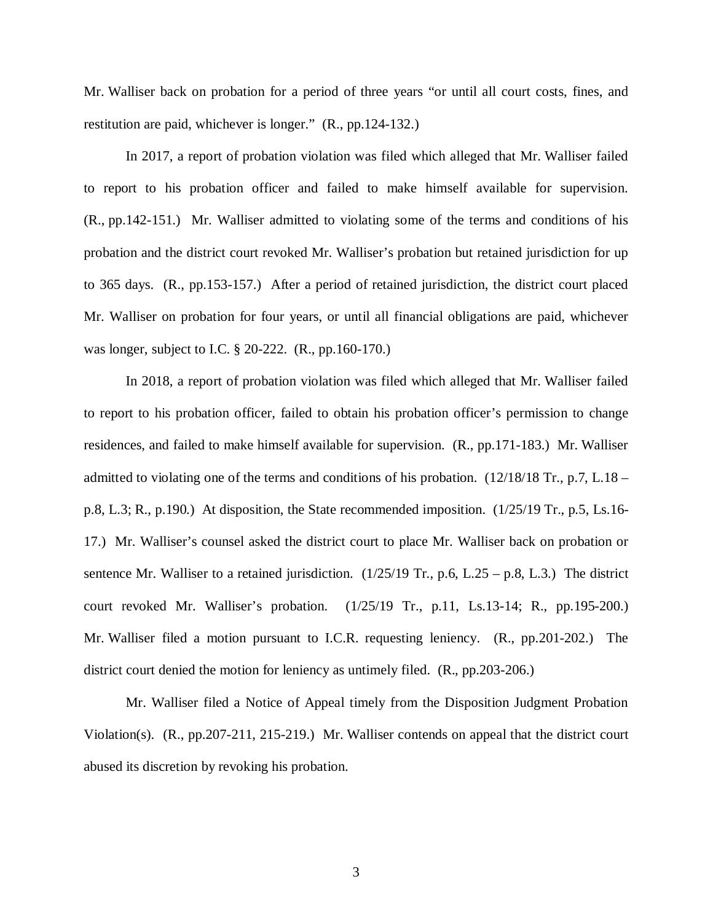Mr. Walliser back on probation for a period of three years "or until all court costs, fines, and restitution are paid, whichever is longer." (R., pp.124-132.)

In 2017, a report of probation violation was filed which alleged that Mr. Walliser failed to report to his probation officer and failed to make himself available for supervision. (R., pp.142-151.) Mr. Walliser admitted to violating some of the terms and conditions of his probation and the district court revoked Mr. Walliser's probation but retained jurisdiction for up to 365 days. (R., pp.153-157.) After a period of retained jurisdiction, the district court placed Mr. Walliser on probation for four years, or until all financial obligations are paid, whichever was longer, subject to I.C. § 20-222. (R., pp.160-170.)

In 2018, a report of probation violation was filed which alleged that Mr. Walliser failed to report to his probation officer, failed to obtain his probation officer's permission to change residences, and failed to make himself available for supervision. (R., pp.171-183.) Mr. Walliser admitted to violating one of the terms and conditions of his probation. (12/18/18 Tr., p.7, L.18 – p.8, L.3; R., p.190.) At disposition, the State recommended imposition. (1/25/19 Tr., p.5, Ls.16- 17.) Mr. Walliser's counsel asked the district court to place Mr. Walliser back on probation or sentence Mr. Walliser to a retained jurisdiction.  $(1/25/19$  Tr., p.6, L.25 – p.8, L.3.) The district court revoked Mr. Walliser's probation. (1/25/19 Tr., p.11, Ls.13-14; R., pp.195-200.) Mr. Walliser filed a motion pursuant to I.C.R. requesting leniency. (R., pp.201-202.) The district court denied the motion for leniency as untimely filed. (R., pp.203-206.)

Mr. Walliser filed a Notice of Appeal timely from the Disposition Judgment Probation Violation(s). (R., pp.207-211, 215-219.) Mr. Walliser contends on appeal that the district court abused its discretion by revoking his probation.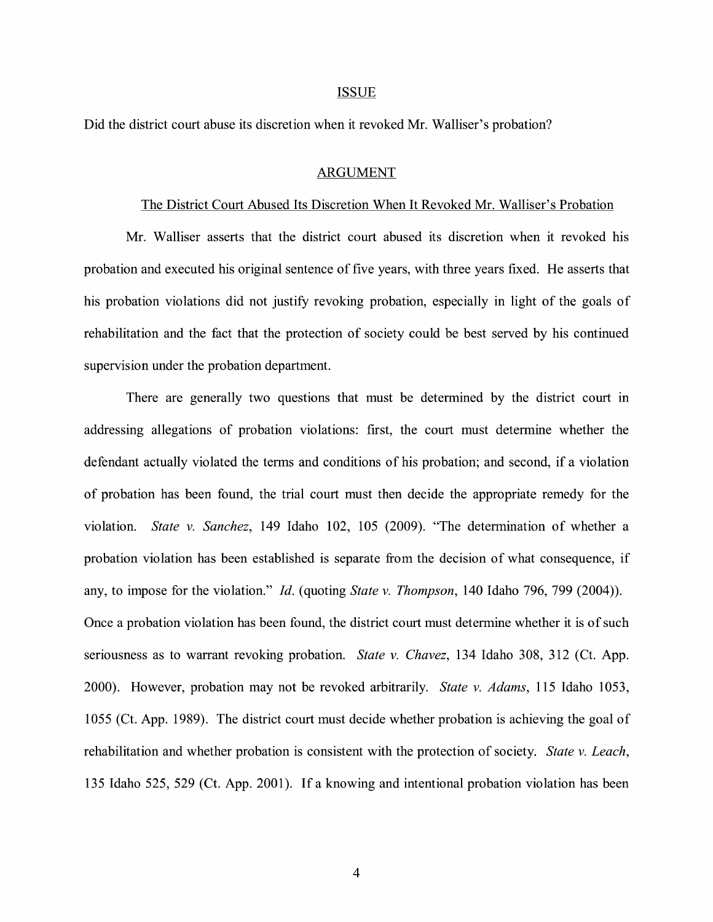#### ISSUE

Did the district court abuse its discretion when it revoked Mr. Walliser's probation?

#### ARGUMENT

## The District Court Abused Its Discretion When It Revoked Mr. Walliser's Probation

Mr. Walliser asserts that the district court abused its discretion when it revoked his probation and executed his original sentence of five years, with three years fixed. He asserts that his probation violations did not justify revoking probation, especially in light of the goals of rehabilitation and the fact that the protection of society could be best served by his continued supervision under the probation department.

There are generally two questions that must be determined by the district court in addressing allegations of probation violations: first, the court must determine whether the defendant actually violated the terms and conditions of his probation; and second, if a violation of probation has been found, the trial court must then decide the appropriate remedy for the violation. *State v. Sanchez,* 149 Idaho 102, 105 (2009). "The determination of whether a probation violation has been established is separate from the decision of what consequence, if any, to impose for the violation." *Id.* (quoting *State v. Thompson,* 140 Idaho 796, 799 (2004)). Once a probation violation has been found, the district court must determine whether it is of such seriousness as to warrant revoking probation. *State v. Chavez,* 134 Idaho 308, 312 (Ct. App. 2000). However, probation may not be revoked arbitrarily. *State v. Adams,* 115 Idaho 1053, 1055 (Ct. App. 1989). The district court must decide whether probation is achieving the goal of rehabilitation and whether probation is consistent with the protection of society. *State v. Leach,*  135 Idaho 525, 529 (Ct. App. 2001). If a knowing and intentional probation violation has been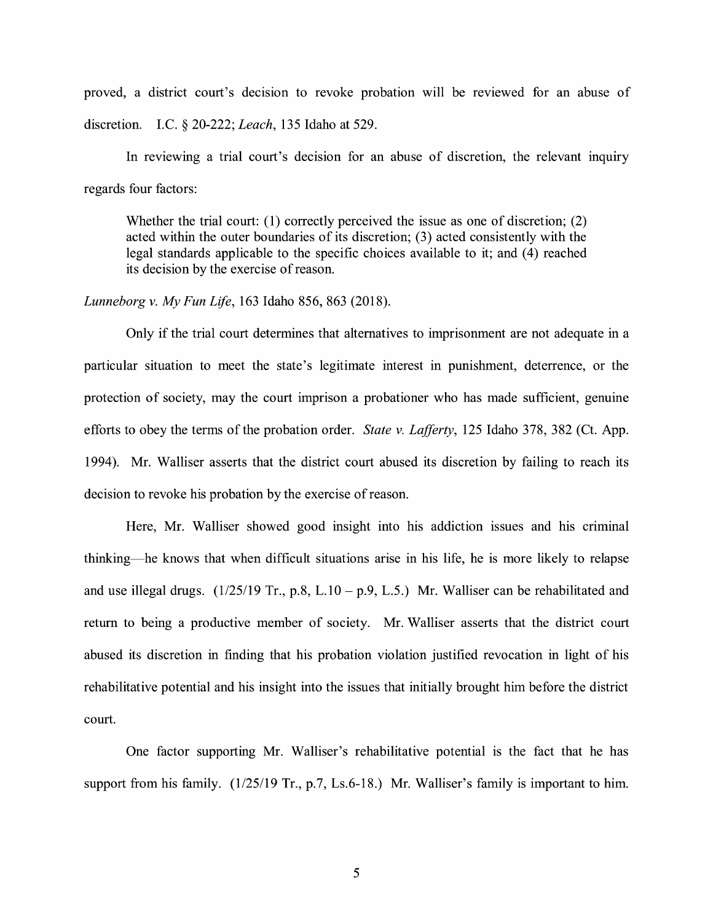proved, a district court's decision to revoke probation will be reviewed for an abuse of discretion. LC. § 20-222; *Leach,* 135 Idaho at 529.

In reviewing a trial court's decision for an abuse of discretion, the relevant mqurry regards four factors:

Whether the trial court: (1) correctly perceived the issue as one of discretion; (2) acted within the outer boundaries of its discretion; (3) acted consistently with the legal standards applicable to the specific choices available to it; and (4) reached its decision by the exercise of reason.

## *Lunneborg v. My Fun Life,* 163 Idaho 856, 863 (2018).

Only if the trial court determines that alternatives to imprisonment are not adequate in a particular situation to meet the state's legitimate interest in punishment, deterrence, or the protection of society, may the court imprison a probationer who has made sufficient, genuine efforts to obey the terms of the probation order. *State v. Lafferty,* 125 Idaho 378, 382 (Ct. App. 1994). Mr. Walliser asserts that the district court abused its discretion by failing to reach its decision to revoke his probation by the exercise of reason.

Here, Mr. Walliser showed good insight into his addiction issues and his criminal thinking-he knows that when difficult situations arise in his life, he is more likely to relapse and use illegal drugs.  $(1/25/19 \text{ Tr.}, p.8, L.10 - p.9, L.5)$  Mr. Walliser can be rehabilitated and return to being a productive member of society. Mr. Walliser asserts that the district court abused its discretion in finding that his probation violation justified revocation in light of his rehabilitative potential and his insight into the issues that initially brought him before the district court.

One factor supporting Mr. Walliser's rehabilitative potential is the fact that he has support from his family. (1/25/19 Tr., p.7, Ls.6-18.) Mr. Walliser's family is important to him.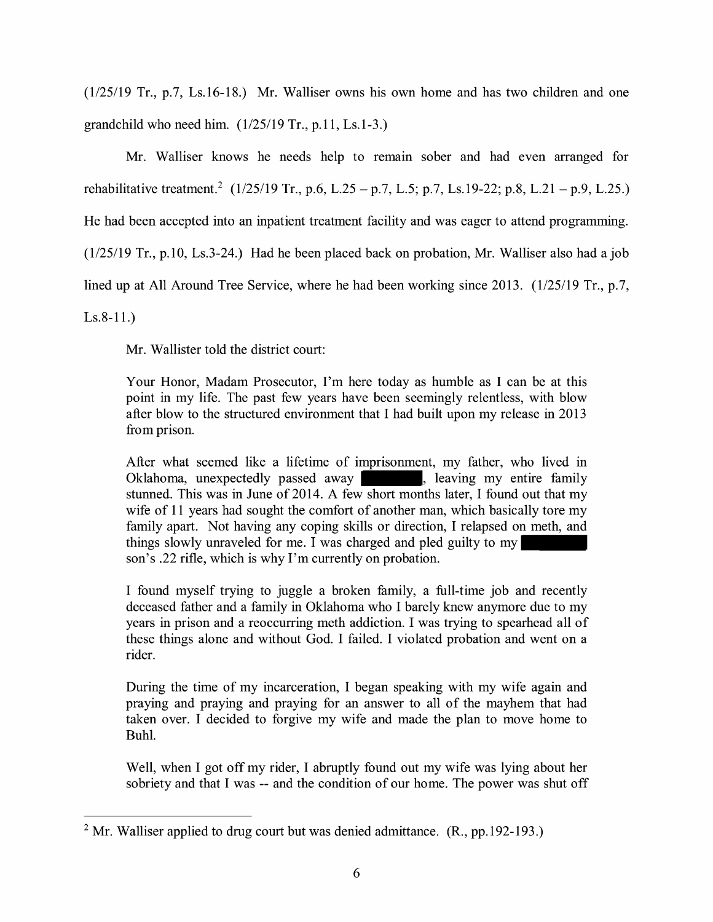(1/25/19 Tr., p.7, Ls.16-18.) Mr. Walliser owns his own home and has two children and one grandchild who need him.  $(1/25/19 \text{ Tr.}, p.11, Ls.1-3.)$ 

Mr. Walliser knows he needs help to remain sober and had even arranged for rehabilitative treatment.<sup>2</sup> (1/25/19 Tr., p.6, L.25 - p.7, L.5; p.7, Ls.19-22; p.8, L.21 - p.9, L.25.) He had been accepted into an inpatient treatment facility and was eager to attend programming. (1/25/19 Tr., p.10, Ls.3-24.) Had he been placed back on probation, Mr. Walliser also had a job lined up at All Around Tree Service, where he had been working since 2013. (1/25/19 Tr., p.7,

Ls.8-11.)

Mr. Wallister told the district court:

Your Honor, Madam Prosecutor, I'm here today as humble as I can be at this point in my life. The past few years have been seemingly relentless, with blow after blow to the structured environment that I had built upon my release in 2013 from prison.

After what seemed like a lifetime of imprisonment, my father, who lived in Oklahoma, unexpectedly passed away , leaving my entire family stunned. This was in June of 2014. A few short months later, I found out that my wife of 11 years had sought the comfort of another man, which basically tore my family apart. Not having any coping skills or direction, I relapsed on meth, and things slowly unraveled for me. I was charged and pled guilty to my son's .22 rifle, which is why I'm currently on probation.

I found myself trying to juggle a broken family, a full-time job and recently deceased father and a family in Oklahoma who I barely knew anymore due to my years in prison and a reoccurring meth addiction. I was trying to spearhead all of these things alone and without God. I failed. I violated probation and went on a rider.

During the time of my incarceration, I began speaking with my wife again and praying and praying and praying for an answer to all of the mayhem that had taken over. I decided to forgive my wife and made the plan to move home to Buhl.

Well, when I got off my rider, I abruptly found out my wife was lying about her sobriety and that I was -- and the condition of our home. The power was shut off

<sup>&</sup>lt;sup>2</sup> Mr. Walliser applied to drug court but was denied admittance.  $(R., pp.192-193.)$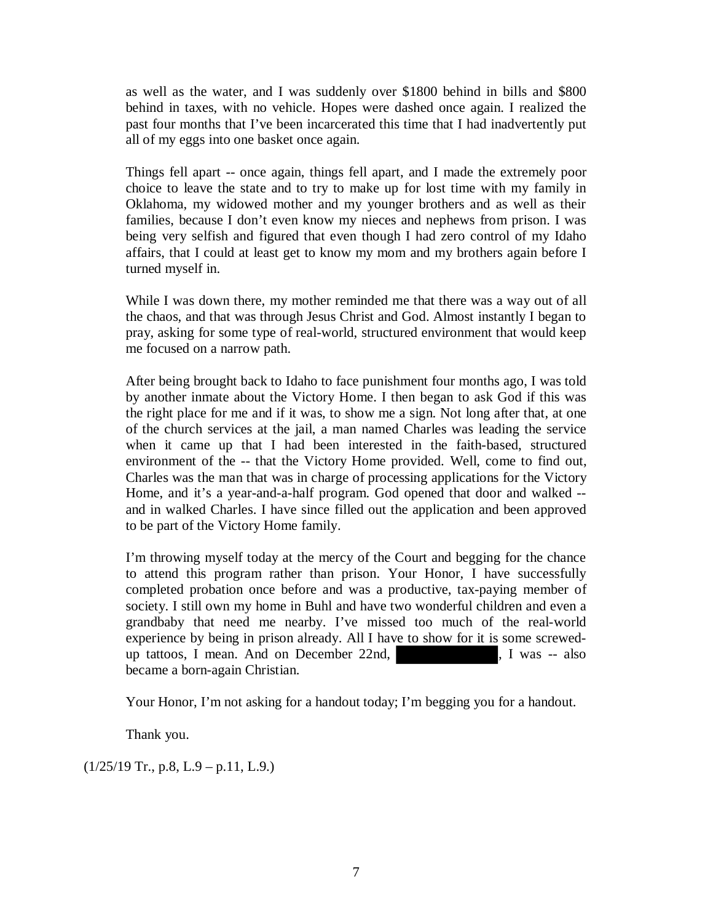as well as the water, and I was suddenly over \$1800 behind in bills and \$800 behind in taxes, with no vehicle. Hopes were dashed once again. I realized the past four months that I've been incarcerated this time that I had inadvertently put all of my eggs into one basket once again.

Things fell apart -- once again, things fell apart, and I made the extremely poor choice to leave the state and to try to make up for lost time with my family in Oklahoma, my widowed mother and my younger brothers and as well as their families, because I don't even know my nieces and nephews from prison. I was being very selfish and figured that even though I had zero control of my Idaho affairs, that I could at least get to know my mom and my brothers again before I turned myself in.

While I was down there, my mother reminded me that there was a way out of all the chaos, and that was through Jesus Christ and God. Almost instantly I began to pray, asking for some type of real-world, structured environment that would keep me focused on a narrow path.

After being brought back to Idaho to face punishment four months ago, I was told by another inmate about the Victory Home. I then began to ask God if this was the right place for me and if it was, to show me a sign. Not long after that, at one of the church services at the jail, a man named Charles was leading the service when it came up that I had been interested in the faith-based, structured environment of the -- that the Victory Home provided. Well, come to find out, Charles was the man that was in charge of processing applications for the Victory Home, and it's a year-and-a-half program. God opened that door and walked - and in walked Charles. I have since filled out the application and been approved to be part of the Victory Home family.

I'm throwing myself today at the mercy of the Court and begging for the chance to attend this program rather than prison. Your Honor, I have successfully completed probation once before and was a productive, tax-paying member of society. I still own my home in Buhl and have two wonderful children and even a grandbaby that need me nearby. I've missed too much of the real-world experience by being in prison already. All I have to show for it is some screwedup tattoos, I mean. And on December 22nd, <br>
1 was -- also became a born-again Christian.

Your Honor, I'm not asking for a handout today; I'm begging you for a handout.

Thank you.

 $(1/25/19$  Tr., p.8, L.9 – p.11, L.9.)